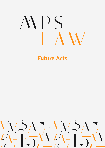# WDS

# **Future Acts**

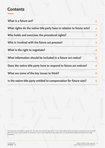#### **Contents**

| What is a future act?                                                  |                |
|------------------------------------------------------------------------|----------------|
| What rights do the native title party have in relation to future acts? | $\overline{2}$ |
| Who holds and exercises the procedural rights?                         | $\mathbf{2}$   |
| Who is involved with the future act process?                           |                |
| What is the right to negotiate?                                        |                |
| What information should be included in a future act notice?            |                |
| Does the native title party have to respond to future act notices?     | 4              |
| What are some of the key issues to think?                              |                |
| Is the native title party entitled to compensation for future acts?    |                |
|                                                                        |                |

This document is intended as a guide only. This does not constitute legal advice. There may be additional and important considerations that should be taken into account in your specific circumstances. If you or your organisation has a legal issue, you should obtain professional advice from a legal practitioner.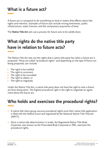### **What is a future act?**

A future act is a proposal to do something on land or waters that affects native title rights and interests. Examples of future acts include mining tenements, public infrastructure, water licences, and the compulsory acquisition of land.

The **Native Title Act** sets out a process for future acts to be validly done.

# **What rights do the native title party have in relation to future acts?**

The Native Title Act sets out the rights that a native title party has when a future act is proposed. These are called "procedural rights" and depending on the type of future act being proposed, can include:

- The right to be notified  $\bullet$
- The right to comment
- The right to be consulted
- The right to object, or
- The right to negotiate.

Under the Native Title Act, a native title party does not have the right to veto a future act from being done. The highest procedural right is the right to negotiate an agreement about the future act.

# **Who holds and exercises the procedural rights?**

- A native title claim group secures procedural rights once their native title application  $\bullet$ is filed with the Federal Court and registered by the National Native Title Tribunal (NNTT).
- Once a native title determination is made, the Registered Native Title Body Corporate, also known as the Prescribed Body Corporate or PBC, exercises the procedural rights.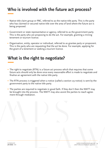## **Who is involved with the future act process?**

- Native title claim group or PBC, referred to as the native title party. This is the party who has claimed or secured native title over the area of land where the future act is being proposed.
- Government or state representative or agency, referred to as the government party. This is the party who are proposing to do the act. For example, granting a mining tenement or tourism licence.
- Organisation, entity, operator or individual, referred to as grantee party or proponent. This is the party who are requesting that the act be done. For example, applying for the grant of a tenement or seeking a tourism licence.

#### **What is the right to negotiate?**

- The right to negotiate (RTN) is a future act process which that requires that some future acts should only be done once every reasonable effort is made to negotiate and finalise an agreement with the native title party.
- The RTN process is triggered when a notice (called a section 29 notice) is sent by the government party to the native title party.
- The parties are required to negotiate in good faith. If they don't then the NNTT may be brought into the process. The NNTT may also assist the parties to reach agreement through mediation.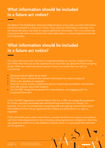#### **What information should be included in a future act notice?**

The Native Title Notification (Notices) Determination (2011) sets out what information should be included in a future act notice. If any relevant information is missing, then the native title party may need to request additional information. This is to ensure any response to the notice provided by the native title party is a robust response to all relevant information.

#### **What information should be included in a future act notice?**

The native title party does not have to respond to future act notices, however if they don't then they miss out on the opportunity to have their say about the future act going ahead. When the native title party receives a future act notice they can start by considering:

- What procedural rights do we have?
- Does the notice include all the relevant information we need to respond?
- What is the deadline to respond?
- Does this notice involve a native title decision requiring consultation and consent from the relevant native title holders?
- Can the PBC charge the proponent for responding to and engaging with the proposed future act?

Under the PBC Regulations and the Native Title Act, a PBC can charge the proponent for certain activities associated with administering some future act notices. For example, the costs associated with consulting with and seeking consent from native title holders to enter into an agreement for a future act where there is a right to negotiate.

If the native title party needs more time to consider the future act notice in accordance with their internal governance rules including cultural governance obligations, then they can request an extension to the deadline, however there is no guarantee the extension will be agreed to.

**JAN 2022** - V01

Liability limited by scheme approved **<sup>4</sup>** under Professional Standards Legislation